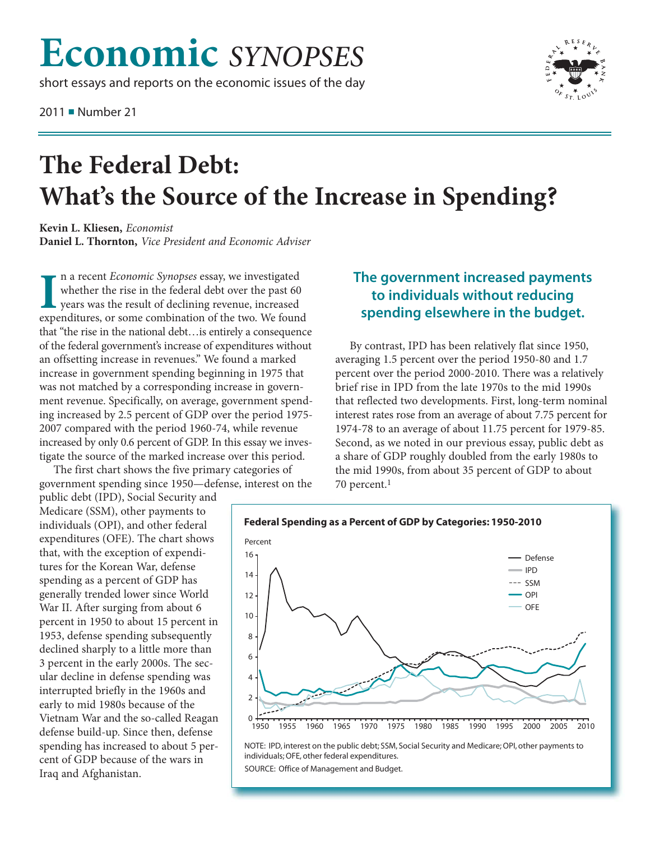## **Economic** *SYNOPSES*

short essays and reports on the economic issues of the day

2011 ■ Number 21



## **The Federal Debt: What's the Source of the Increase in Spending?**

**Kevin L. Kliesen,** *Economist* **Daniel L. Thornton,** *Vice President and Economic Adviser*

In a recent *Economic Synopses* essay, we investigated whether the rise in the federal debt over the past 60 years was the result of declining revenue, increased expenditures, or some combination of the two. We found n a recent *Economic Synopses* essay, we investigated whether the rise in the federal debt over the past 60 years was the result of declining revenue, increased that "the rise in the national debt…is entirely a consequence of the federal government's increase of expenditures without an offsetting increase in revenues." We found a marked increase in government spending beginning in 1975 that was not matched by a corresponding increase in government revenue. Specifically, on average, government spending increased by 2.5 percent of GDP over the period 1975- 2007 compared with the period 1960-74, while revenue increased by only 0.6 percent of GDP. In this essay we investigate the source of the marked increase over this period.

The first chart shows the five primary categories of government spending since 1950—defense, interest on the

public debt (IPD), Social Security and Medicare (SSM), other payments to individuals (OPI), and other federal expenditures (OFE). The chart shows that, with the exception of expenditures for the Korean War, defense spending as a percent of GDP has generally trended lower since World War II. After surging from about 6 percent in 1950 to about 15 percent in 1953, defense spending subsequently declined sharply to a little more than 3 percent in the early 2000s. The secular decline in defense spending was interrupted briefly in the 1960s and early to mid 1980s because of the Vietnam War and the so-called Reagan defense build-up. Since then, defense spending has increased to about 5 percent of GDP because of the wars in Iraq and Afghanistan.

## **The government increased payments to individuals without reducing spending elsewhere in the budget.**

By contrast, IPD has been relatively flat since 1950, averaging 1.5 percent over the period 1950-80 and 1.7 percent over the period 2000-2010. There was a relatively brief rise in IPD from the late 1970s to the mid 1990s that reflected two developments. First, long-term nominal interest rates rose from an average of about 7.75 percent for 1974-78 to an average of about 11.75 percent for 1979-85. Second, as we noted in our previous essay, public debt as a share of GDP roughly doubled from the early 1980s to the mid 1990s, from about 35 percent of GDP to about 70 percent.1



NOTE: IPD, interest on the public debt; SSM, Social Security and Medicare; OPI, other payments to individuals; OFE, other federal expenditures.

SOURCE: Office of Management and Budget.